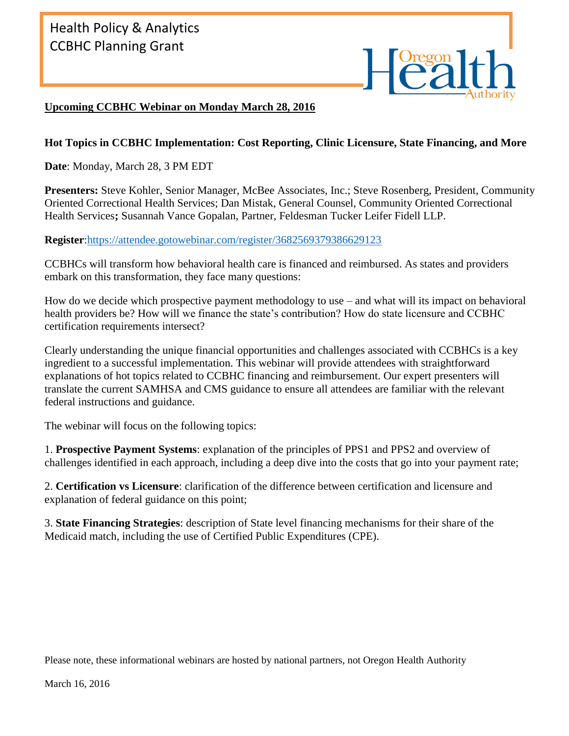## **Upcoming CCBHC Webinar on Monday March 28, 2016**

## **Hot Topics in CCBHC Implementation: Cost Reporting, Clinic Licensure, State Financing, and More**

**Date**: Monday, March 28, 3 PM EDT

**Presenters:** Steve Kohler, Senior Manager, McBee Associates, Inc.; Steve Rosenberg, President, Community Oriented Correctional Health Services; Dan Mistak, General Counsel, Community Oriented Correctional Health Services**;** Susannah Vance Gopalan, Partner, Feldesman Tucker Leifer Fidell LLP.

**Register**[:https://attendee.gotowebinar.com/register/3682569379386629123](https://attendee.gotowebinar.com/register/3682569379386629123)

CCBHCs will transform how behavioral health care is financed and reimbursed. As states and providers embark on this transformation, they face many questions:

How do we decide which prospective payment methodology to use – and what will its impact on behavioral health providers be? How will we finance the state's contribution? How do state licensure and CCBHC certification requirements intersect?

Clearly understanding the unique financial opportunities and challenges associated with CCBHCs is a key ingredient to a successful implementation. This webinar will provide attendees with straightforward explanations of hot topics related to CCBHC financing and reimbursement. Our expert presenters will translate the current SAMHSA and CMS guidance to ensure all attendees are familiar with the relevant federal instructions and guidance.

The webinar will focus on the following topics:

1. **Prospective Payment Systems**: explanation of the principles of PPS1 and PPS2 and overview of challenges identified in each approach, including a deep dive into the costs that go into your payment rate;

2. **Certification vs Licensure**: clarification of the difference between certification and licensure and explanation of federal guidance on this point;

3. **State Financing Strategies**: description of State level financing mechanisms for their share of the Medicaid match, including the use of Certified Public Expenditures (CPE).

Please note, these informational webinars are hosted by national partners, not Oregon Health Authority